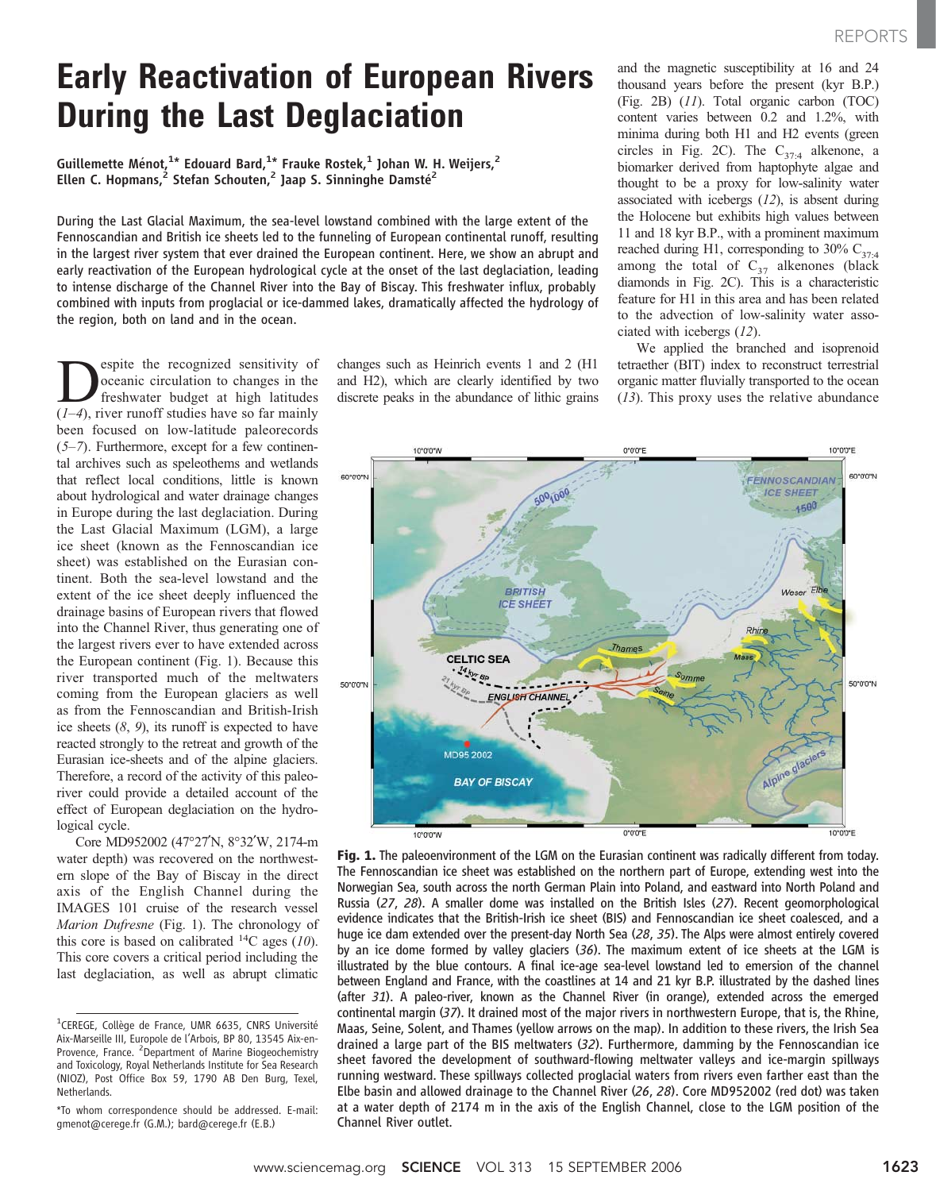## Early Reactivation of European Rivers During the Last Deglaciation

Guillemette Ménot, $^{1*}$  Edouard Bard, $^{1*}$  Frauke Rostek, $^{1}$  Johan W. H. Weijers, $^{2}$ Ellen C. Hopmans,<sup>2</sup> Stefan Schouten,<sup>2</sup> Jaap S. Sinninghe Damsté<sup>2</sup>

During the Last Glacial Maximum, the sea-level lowstand combined with the large extent of the Fennoscandian and British ice sheets led to the funneling of European continental runoff, resulting in the largest river system that ever drained the European continent. Here, we show an abrupt and early reactivation of the European hydrological cycle at the onset of the last deglaciation, leading to intense discharge of the Channel River into the Bay of Biscay. This freshwater influx, probably combined with inputs from proglacial or ice-dammed lakes, dramatically affected the hydrology of the region, both on land and in the ocean.

Sociality of<br>
Sociality of the recognized sensitivity of<br>
freshwater budget at high latitudes<br>
(1–4) river runoff studies have so far mainly oceanic circulation to changes in the  $(1-4)$ , river runoff studies have so far mainly been focused on low-latitude paleorecords  $(5-7)$ . Furthermore, except for a few continental archives such as speleothems and wetlands that reflect local conditions, little is known about hydrological and water drainage changes in Europe during the last deglaciation. During the Last Glacial Maximum (LGM), a large ice sheet (known as the Fennoscandian ice sheet) was established on the Eurasian continent. Both the sea-level lowstand and the extent of the ice sheet deeply influenced the drainage basins of European rivers that flowed into the Channel River, thus generating one of the largest rivers ever to have extended across the European continent (Fig. 1). Because this river transported much of the meltwaters coming from the European glaciers as well as from the Fennoscandian and British-Irish ice sheets (8, 9), its runoff is expected to have reacted strongly to the retreat and growth of the Eurasian ice-sheets and of the alpine glaciers. Therefore, a record of the activity of this paleoriver could provide a detailed account of the effect of European deglaciation on the hydrological cycle.

Core MD952002 (47°27'N, 8°32'W, 2174-m water depth) was recovered on the northwestern slope of the Bay of Biscay in the direct axis of the English Channel during the IMAGES 101 cruise of the research vessel Marion Dufresne (Fig. 1). The chronology of this core is based on calibrated  $^{14}C$  ages (10). This core covers a critical period including the last deglaciation, as well as abrupt climatic

changes such as Heinrich events 1 and 2 (H1 and H2), which are clearly identified by two discrete peaks in the abundance of lithic grains and the magnetic susceptibility at 16 and 24 thousand years before the present (kyr B.P.) (Fig. 2B) (11). Total organic carbon (TOC) content varies between 0.2 and 1.2%, with minima during both H1 and H2 events (green circles in Fig. 2C). The  $C_{37:4}$  alkenone, a biomarker derived from haptophyte algae and thought to be a proxy for low-salinity water associated with icebergs (12), is absent during the Holocene but exhibits high values between 11 and 18 kyr B.P., with a prominent maximum reached during H1, corresponding to 30%  $C_{37:4}$ among the total of  $C_{37}$  alkenones (black diamonds in Fig. 2C). This is a characteristic feature for H1 in this area and has been related to the advection of low-salinity water associated with icebergs (12).

We applied the branched and isoprenoid tetraether (BIT) index to reconstruct terrestrial organic matter fluvially transported to the ocean (13). This proxy uses the relative abundance



Fig. 1. The paleoenvironment of the LGM on the Eurasian continent was radically different from today. The Fennoscandian ice sheet was established on the northern part of Europe, extending west into the Norwegian Sea, south across the north German Plain into Poland, and eastward into North Poland and Russia (27, 28). A smaller dome was installed on the British Isles (27). Recent geomorphological evidence indicates that the British-Irish ice sheet (BIS) and Fennoscandian ice sheet coalesced, and a huge ice dam extended over the present-day North Sea (28, 35). The Alps were almost entirely covered by an ice dome formed by valley glaciers (36). The maximum extent of ice sheets at the LGM is illustrated by the blue contours. A final ice-age sea-level lowstand led to emersion of the channel between England and France, with the coastlines at 14 and 21 kyr B.P. illustrated by the dashed lines (after 31). A paleo-river, known as the Channel River (in orange), extended across the emerged continental margin (37). It drained most of the major rivers in northwestern Europe, that is, the Rhine, Maas, Seine, Solent, and Thames (yellow arrows on the map). In addition to these rivers, the Irish Sea drained a large part of the BIS meltwaters (32). Furthermore, damming by the Fennoscandian ice sheet favored the development of southward-flowing meltwater valleys and ice-margin spillways running westward. These spillways collected proglacial waters from rivers even farther east than the Elbe basin and allowed drainage to the Channel River (26, 28). Core MD952002 (red dot) was taken at a water depth of 2174 m in the axis of the English Channel, close to the LGM position of the Channel River outlet.

<sup>&</sup>lt;sup>1</sup>CEREGE, Collège de France, UMR 6635, CNRS Université Aix-Marseille III, Europole de l'Arbois, BP 80, 13545 Aix-en-Provence, France. <sup>2</sup>Department of Marine Biogeochemistry and Toxicology, Royal Netherlands Institute for Sea Research (NIOZ), Post Office Box 59, 1790 AB Den Burg, Texel, Netherlands.

<sup>\*</sup>To whom correspondence should be addressed. E-mail: gmenot@cerege.fr (G.M.); bard@cerege.fr (E.B.)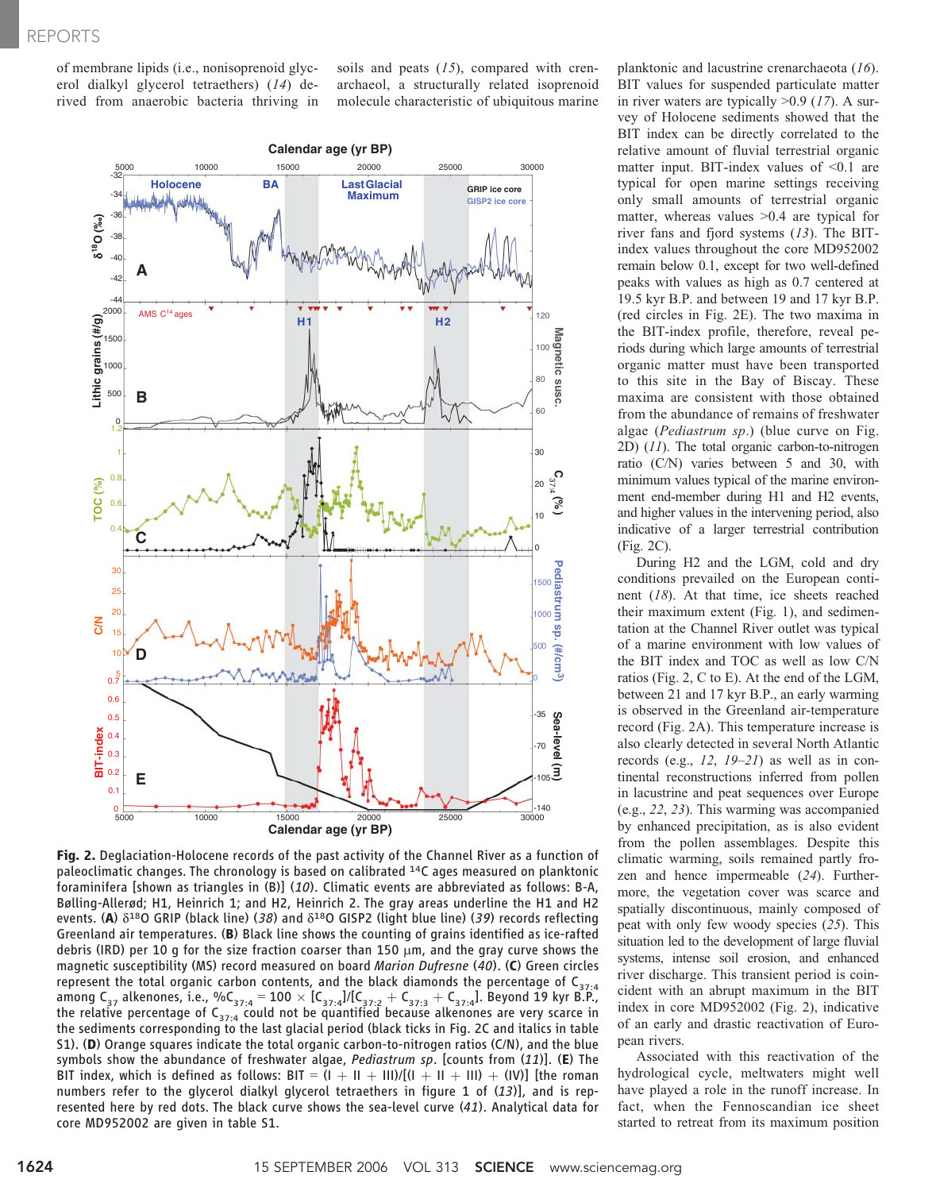of membrane lipids (i.e., nonisoprenoid glycerol dialkyl glycerol tetraethers) (14) derived from anaerobic bacteria thriving in soils and peats  $(15)$ , compared with crenarchaeol, a structurally related isoprenoid molecule characteristic of ubiquitous marine



Fig. 2. Deglaciation-Holocene records of the past activity of the Channel River as a function of paleoclimatic changes. The chronology is based on calibrated 14C ages measured on planktonic foraminifera [shown as triangles in (B)] (10). Climatic events are abbreviated as follows: B-A, Bølling-Allerød; H1, Heinrich 1; and H2, Heinrich 2. The gray areas underline the H1 and H2 events. (A)  $\delta^{18}$ O GRIP (black line) (38) and  $\delta^{18}$ O GISP2 (light blue line) (39) records reflecting Greenland air temperatures. (B) Black line shows the counting of grains identified as ice-rafted debris (IRD) per 10 g for the size fraction coarser than 150  $\mu$ m, and the gray curve shows the magnetic susceptibility (MS) record measured on board Marion Dufresne (40). (C) Green circles represent the total organic carbon contents, and the black diamonds the percentage of  $C_{37:4}$ among C<sub>37</sub> alkenones, i.e., %C<sub>37:4</sub> = 100  $\times$  [C<sub>37:4</sub>]/[C<sub>37:2</sub> + C<sub>37:3</sub> + C<sub>37:4</sub>]. Beyond 19 kyr B.P., the relative percentage of  $\mathsf{C}_{\mathsf{37:4}}$  could not be quantified because alkenones are very scarce in the sediments corresponding to the last glacial period (black ticks in Fig. 2C and italics in table S1). (D) Orange squares indicate the total organic carbon-to-nitrogen ratios (C/N), and the blue symbols show the abundance of freshwater algae, *Pediastrum sp*. [counts from  $(11)$ ]. (E) The BIT index, which is defined as follows: BIT =  $(I + II + III)/(I + II + III)$  + (IV)] [the roman numbers refer to the glycerol dialkyl glycerol tetraethers in figure 1 of  $(13)$ ], and is represented here by red dots. The black curve shows the sea-level curve (41). Analytical data for core MD952002 are given in table S1.

planktonic and lacustrine crenarchaeota (16). BIT values for suspended particulate matter in river waters are typically  $>0.9$  (17). A survey of Holocene sediments showed that the BIT index can be directly correlated to the relative amount of fluvial terrestrial organic matter input. BIT-index values of  $\leq 0.1$  are typical for open marine settings receiving only small amounts of terrestrial organic matter, whereas values  $>0.4$  are typical for river fans and fjord systems (13). The BITindex values throughout the core MD952002 remain below 0.1, except for two well-defined peaks with values as high as 0.7 centered at 19.5 kyr B.P. and between 19 and 17 kyr B.P. (red circles in Fig. 2E). The two maxima in the BIT-index profile, therefore, reveal periods during which large amounts of terrestrial organic matter must have been transported to this site in the Bay of Biscay. These maxima are consistent with those obtained from the abundance of remains of freshwater algae (Pediastrum sp.) (blue curve on Fig.  $2D$ )  $(11)$ . The total organic carbon-to-nitrogen ratio (C/N) varies between 5 and 30, with minimum values typical of the marine environment end-member during H1 and H2 events, and higher values in the intervening period, also indicative of a larger terrestrial contribution (Fig. 2C).

During H2 and the LGM, cold and dry conditions prevailed on the European continent (18). At that time, ice sheets reached their maximum extent (Fig. 1), and sedimentation at the Channel River outlet was typical of a marine environment with low values of the BIT index and TOC as well as low C/N ratios (Fig. 2, C to E). At the end of the LGM, between 21 and 17 kyr B.P., an early warming is observed in the Greenland air-temperature record (Fig. 2A). This temperature increase is also clearly detected in several North Atlantic records (e.g.,  $12$ ,  $19-21$ ) as well as in continental reconstructions inferred from pollen in lacustrine and peat sequences over Europe (e.g., 22, 23). This warming was accompanied by enhanced precipitation, as is also evident from the pollen assemblages. Despite this climatic warming, soils remained partly frozen and hence impermeable (24). Furthermore, the vegetation cover was scarce and spatially discontinuous, mainly composed of peat with only few woody species (25). This situation led to the development of large fluvial systems, intense soil erosion, and enhanced river discharge. This transient period is coincident with an abrupt maximum in the BIT index in core MD952002 (Fig. 2), indicative of an early and drastic reactivation of European rivers.

Associated with this reactivation of the hydrological cycle, meltwaters might well have played a role in the runoff increase. In fact, when the Fennoscandian ice sheet started to retreat from its maximum position